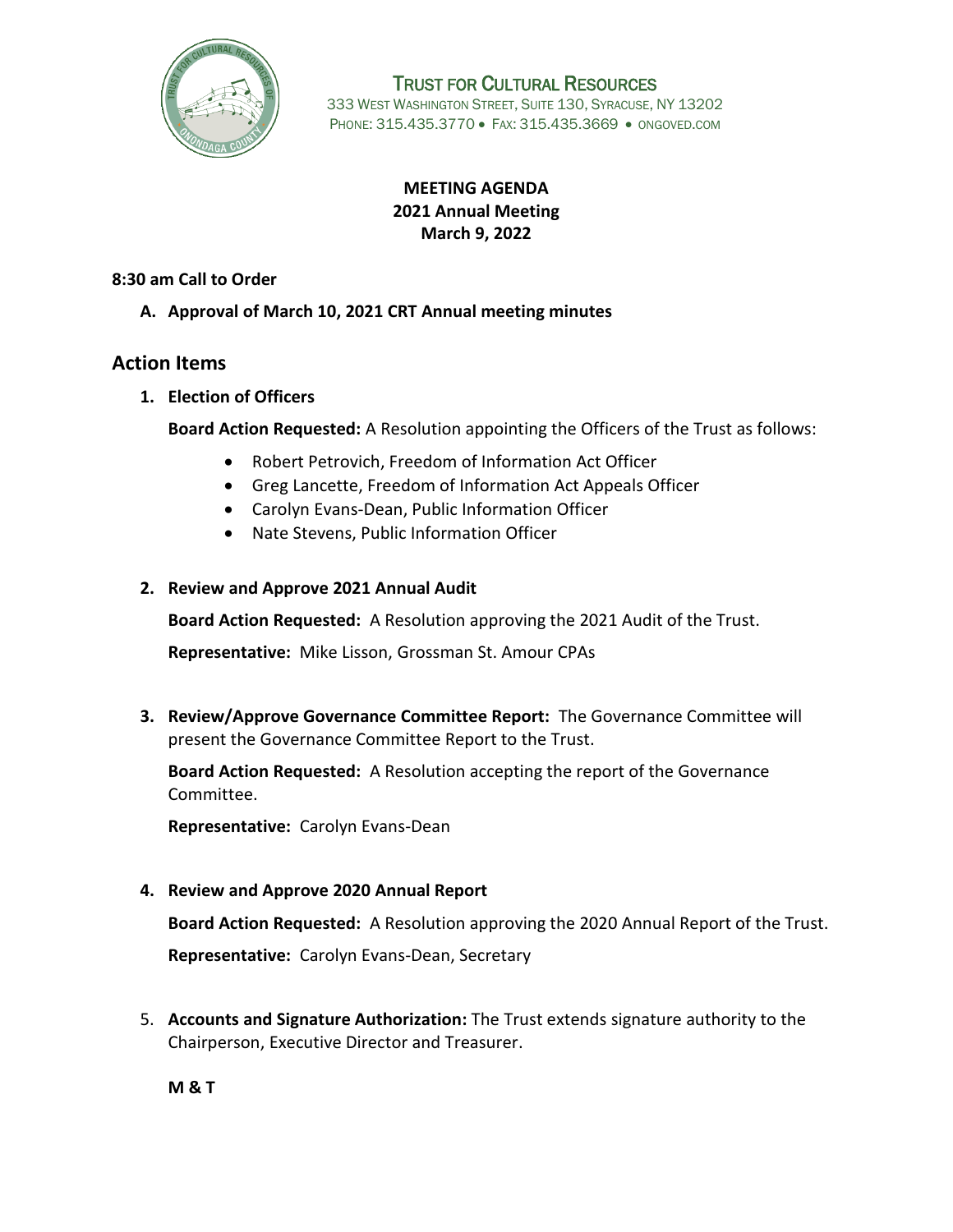

TRUST FOR CULTURAL RESOURCES 333 WEST WASHINGTON STREET, SUITE 130, SYRACUSE, NY 13202 PHONE: 315.435.3770 · FAX: 315.435.3669 · ONGOVED.COM

# **MEETING AGENDA 2021 Annual Meeting March 9, 2022**

**8:30 am Call to Order**

## **A. Approval of March 10, 2021 CRT Annual meeting minutes**

# **Action Items**

**1. Election of Officers**

**Board Action Requested:** A Resolution appointing the Officers of the Trust as follows:

- Robert Petrovich, Freedom of Information Act Officer
- Greg Lancette, Freedom of Information Act Appeals Officer
- Carolyn Evans-Dean, Public Information Officer
- Nate Stevens, Public Information Officer

## **2. Review and Approve 2021 Annual Audit**

**Board Action Requested:** A Resolution approving the 2021 Audit of the Trust.

**Representative:** Mike Lisson, Grossman St. Amour CPAs

**3. Review/Approve Governance Committee Report:** The Governance Committee will present the Governance Committee Report to the Trust.

**Board Action Requested:** A Resolution accepting the report of the Governance Committee.

**Representative:** Carolyn Evans-Dean

## **4. Review and Approve 2020 Annual Report**

**Board Action Requested:** A Resolution approving the 2020 Annual Report of the Trust. **Representative:** Carolyn Evans-Dean, Secretary

5. **Accounts and Signature Authorization:** The Trust extends signature authority to the Chairperson, Executive Director and Treasurer.

**M & T**